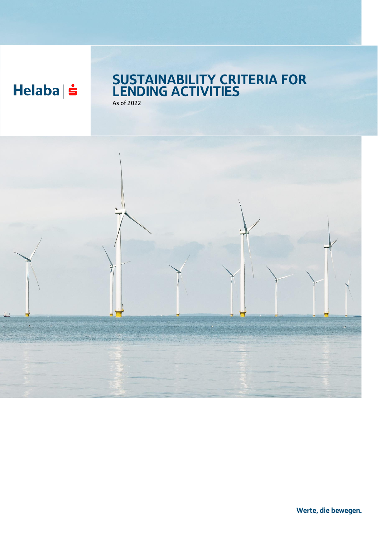$Helaba \succeq$ 

### SUSTAINABILITY CRITERIA FOR LENDING ACTIVITIES As of 2022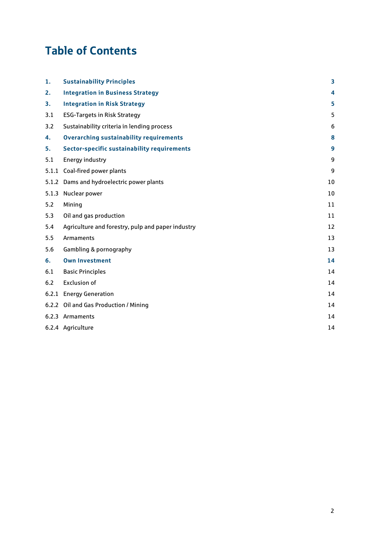# Table of Contents

| 1.    | <b>Sustainability Principles</b>                   | 3  |
|-------|----------------------------------------------------|----|
| 2.    | <b>Integration in Business Strategy</b>            | 4  |
| 3.    | <b>Integration in Risk Strategy</b>                | 5  |
| 3.1   | <b>ESG-Targets in Risk Strategy</b>                | 5  |
| 3.2   | Sustainability criteria in lending process         | 6  |
| 4.    | <b>Overarching sustainability requirements</b>     | 8  |
| 5.    | <b>Sector-specific sustainability requirements</b> | 9  |
| 5.1   | <b>Energy industry</b>                             | 9  |
|       | 5.1.1 Coal-fired power plants                      | 9  |
|       | 5.1.2 Dams and hydroelectric power plants          | 10 |
| 5.1.3 | Nuclear power                                      | 10 |
| 5.2   | Mining                                             | 11 |
| 5.3   | Oil and gas production                             | 11 |
| 5.4   | Agriculture and forestry, pulp and paper industry  | 12 |
| 5.5   | Armaments                                          | 13 |
| 5.6   | Gambling & pornography                             | 13 |
| 6.    | <b>Own Investment</b>                              | 14 |
| 6.1   | <b>Basic Principles</b>                            | 14 |
| 6.2   | <b>Exclusion of</b>                                | 14 |
| 6.2.1 | <b>Energy Generation</b>                           | 14 |
|       | 6.2.2 Oil and Gas Production / Mining              | 14 |
|       | 6.2.3 Armaments                                    | 14 |
|       | 6.2.4 Agriculture                                  | 14 |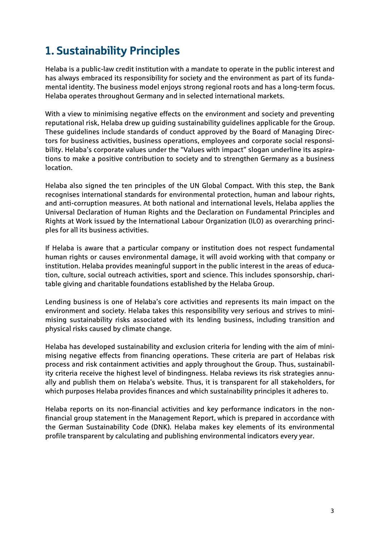# <span id="page-2-0"></span>1. Sustainability Principles

Helaba is a public-law credit institution with a mandate to operate in the public interest and has always embraced its responsibility for society and the environment as part of its fundamental identity. The business model enjoys strong regional roots and has a long-term focus. Helaba operates throughout Germany and in selected international markets.

With a view to minimising negative effects on the environment and society and preventing reputational risk, Helaba drew up guiding sustainability guidelines applicable for the Group. These guidelines include standards of conduct approved by the Board of Managing Directors for business activities, business operations, employees and corporate social responsibility. Helaba's corporate values under the "Values with impact" slogan underline its aspirations to make a positive contribution to society and to strengthen Germany as a business location.

Helaba also signed the ten principles of the UN Global Compact. With this step, the Bank recognises international standards for environmental protection, human and labour rights, and anti-corruption measures. At both national and international levels, Helaba applies the Universal Declaration of Human Rights and the Declaration on Fundamental Principles and Rights at Work issued by the International Labour Organization (ILO) as overarching principles for all its business activities.

If Helaba is aware that a particular company or institution does not respect fundamental human rights or causes environmental damage, it will avoid working with that company or institution. Helaba provides meaningful support in the public interest in the areas of education, culture, social outreach activities, sport and science. This includes sponsorship, charitable giving and charitable foundations established by the Helaba Group.

Lending business is one of Helaba's core activities and represents its main impact on the environment and society. Helaba takes this responsibility very serious and strives to minimising sustainability risks associated with its lending business, including transition and physical risks caused by climate change.

Helaba has developed sustainability and exclusion criteria for lending with the aim of minimising negative effects from financing operations. These criteria are part of Helabas risk process and risk containment activities and apply throughout the Group. Thus, sustainability criteria receive the highest level of bindingness. Helaba reviews its risk strategies annually and publish them on Helaba's website. Thus, it is transparent for all stakeholders, for which purposes Helaba provides finances and which sustainability principles it adheres to.

Helaba reports on its non-financial activities and key performance indicators in the nonfinancial group statement in the Management Report, which is prepared in accordance with the German Sustainability Code (DNK). Helaba makes key elements of its environmental profile transparent by calculating and publishing environmental indicators every year.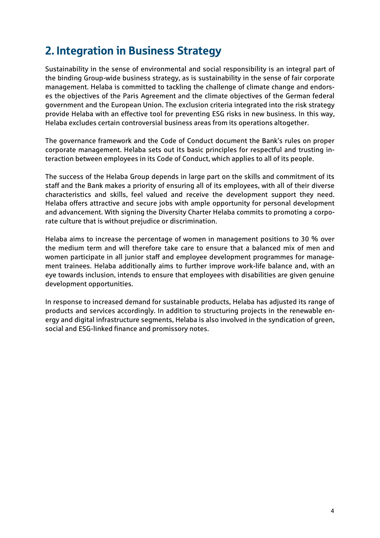## <span id="page-3-0"></span>2. Integration in Business Strategy

Sustainability in the sense of environmental and social responsibility is an integral part of the binding Group-wide business strategy, as is sustainability in the sense of fair corporate management. Helaba is committed to tackling the challenge of climate change and endorses the objectives of the Paris Agreement and the climate objectives of the German federal government and the European Union. The exclusion criteria integrated into the risk strategy provide Helaba with an effective tool for preventing ESG risks in new business. In this way, Helaba excludes certain controversial business areas from its operations altogether.

The governance framework and the Code of Conduct document the Bank's rules on proper corporate management. Helaba sets out its basic principles for respectful and trusting interaction between employees in its Code of Conduct, which applies to all of its people.

The success of the Helaba Group depends in large part on the skills and commitment of its staff and the Bank makes a priority of ensuring all of its employees, with all of their diverse characteristics and skills, feel valued and receive the development support they need. Helaba offers attractive and secure jobs with ample opportunity for personal development and advancement. With signing the Diversity Charter Helaba commits to promoting a corporate culture that is without prejudice or discrimination.

Helaba aims to increase the percentage of women in management positions to 30 % over the medium term and will therefore take care to ensure that a balanced mix of men and women participate in all junior staff and employee development programmes for management trainees. Helaba additionally aims to further improve work-life balance and, with an eye towards inclusion, intends to ensure that employees with disabilities are given genuine development opportunities.

In response to increased demand for sustainable products, Helaba has adjusted its range of products and services accordingly. In addition to structuring projects in the renewable energy and digital infrastructure segments, Helaba is also involved in the syndication of green, social and ESG-linked finance and promissory notes.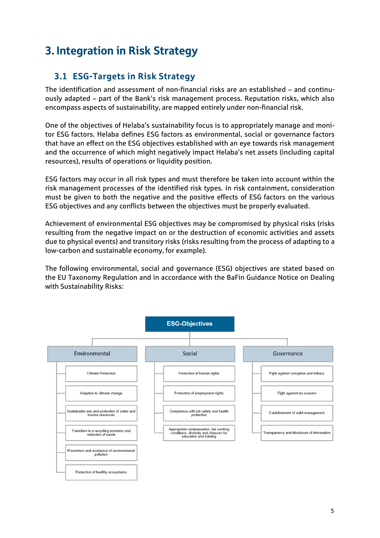# <span id="page-4-0"></span>3. Integration in Risk Strategy

### <span id="page-4-1"></span>**3.1 ESG-Targets in Risk Strategy**

The identification and assessment of non-financial risks are an established – and continuously adapted – part of the Bank's risk management process. Reputation risks, which also encompass aspects of sustainability, are mapped entirely under non-financial risk.

One of the objectives of Helaba's sustainability focus is to appropriately manage and monitor ESG factors. Helaba defines ESG factors as environmental, social or governance factors that have an effect on the ESG objectives established with an eye towards risk management and the occurrence of which might negatively impact Helaba's net assets (including capital resources), results of operations or liquidity position.

ESG factors may occur in all risk types and must therefore be taken into account within the risk management processes of the identified risk types. In risk containment, consideration must be given to both the negative and the positive effects of ESG factors on the various ESG objectives and any conflicts between the objectives must be properly evaluated.

Achievement of environmental ESG objectives may be compromised by physical risks (risks resulting from the negative impact on or the destruction of economic activities and assets due to physical events) and transitory risks (risks resulting from the process of adapting to a low-carbon and sustainable economy, for example).

The following environmental, social and governance (ESG) objectives are stated based on the EU Taxonomy Regulation and in accordance with the BaFin Guidance Notice on Dealing with Sustainability Risks:

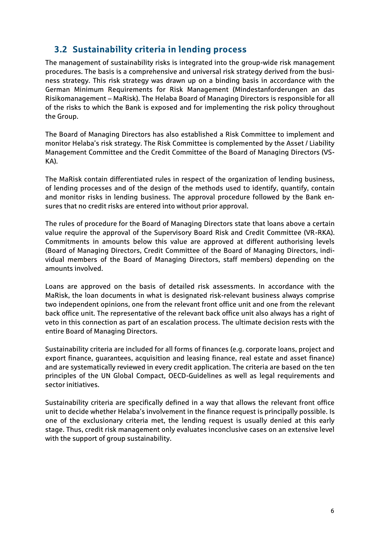### <span id="page-5-0"></span>**3.2 Sustainability criteria in lending process**

The management of sustainability risks is integrated into the group-wide risk management procedures. The basis is a comprehensive and universal risk strategy derived from the business strategy. This risk strategy was drawn up on a binding basis in accordance with the German Minimum Requirements for Risk Management (Mindestanforderungen an das Risikomanagement – MaRisk). The Helaba Board of Managing Directors is responsible for all of the risks to which the Bank is exposed and for implementing the risk policy throughout the Group.

The Board of Managing Directors has also established a Risk Committee to implement and monitor Helaba's risk strategy. The Risk Committee is complemented by the Asset / Liability Management Committee and the Credit Committee of the Board of Managing Directors (VS-KA).

The MaRisk contain differentiated rules in respect of the organization of lending business, of lending processes and of the design of the methods used to identify, quantify, contain and monitor risks in lending business. The approval procedure followed by the Bank ensures that no credit risks are entered into without prior approval.

The rules of procedure for the Board of Managing Directors state that loans above a certain value require the approval of the Supervisory Board Risk and Credit Committee (VR-RKA). Commitments in amounts below this value are approved at different authorising levels (Board of Managing Directors, Credit Committee of the Board of Managing Directors, individual members of the Board of Managing Directors, staff members) depending on the amounts involved.

Loans are approved on the basis of detailed risk assessments. In accordance with the MaRisk, the loan documents in what is designated risk-relevant business always comprise two independent opinions, one from the relevant front office unit and one from the relevant back office unit. The representative of the relevant back office unit also always has a right of veto in this connection as part of an escalation process. The ultimate decision rests with the entire Board of Managing Directors.

Sustainability criteria are included for all forms of finances (e.g. corporate loans, project and export finance, guarantees, acquisition and leasing finance, real estate and asset finance) and are systematically reviewed in every credit application. The criteria are based on the ten principles of the UN Global Compact, OECD-Guidelines as well as legal requirements and sector initiatives.

Sustainability criteria are specifically defined in a way that allows the relevant front office unit to decide whether Helaba's involvement in the finance request is principally possible. Is one of the exclusionary criteria met, the lending request is usually denied at this early stage. Thus, credit risk management only evaluates inconclusive cases on an extensive level with the support of group sustainability.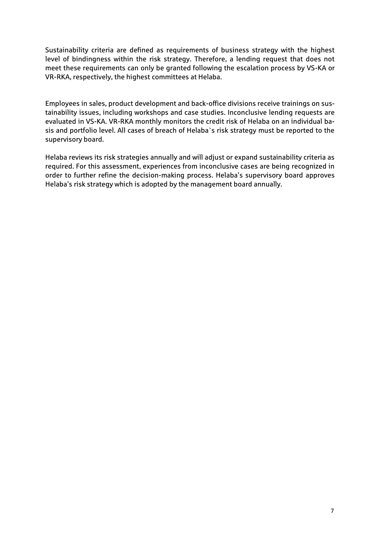Sustainability criteria are defined as requirements of business strategy with the highest level of bindingness within the risk strategy. Therefore, a lending request that does not meet these requirements can only be granted following the escalation process by VS-KA or VR-RKA, respectively, the highest committees at Helaba.

Employees in sales, product development and back-office divisions receive trainings on sustainability issues, including workshops and case studies. Inconclusive lending requests are evaluated in VS-KA. VR-RKA monthly monitors the credit risk of Helaba on an individual basis and portfolio level. All cases of breach of Helaba`s risk strategy must be reported to the supervisory board.

Helaba reviews its risk strategies annually and will adjust or expand sustainability criteria as required. For this assessment, experiences from inconclusive cases are being recognized in order to further refine the decision-making process. Helaba's supervisory board approves Helaba's risk strategy which is adopted by the management board annually.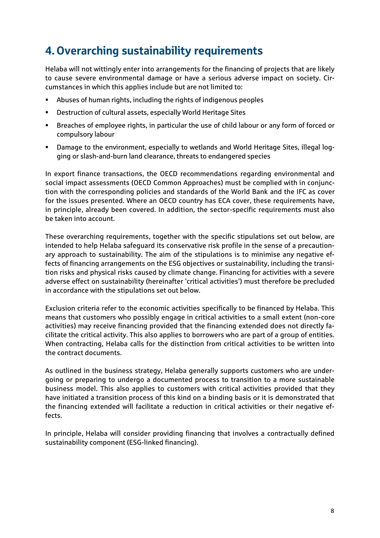# <span id="page-7-0"></span>4. Overarching sustainability requirements

Helaba will not wittingly enter into arrangements for the financing of projects that are likely to cause severe environmental damage or have a serious adverse impact on society. Circumstances in which this applies include but are not limited to:

- Abuses of human rights, including the rights of indigenous peoples
- Destruction of cultural assets, especially World Heritage Sites
- Breaches of employee rights, in particular the use of child labour or any form of forced or compulsory labour
- Damage to the environment, especially to wetlands and World Heritage Sites, illegal logging or slash-and-burn land clearance, threats to endangered species

In export finance transactions, the OECD recommendations regarding environmental and social impact assessments (OECD Common Approaches) must be complied with in conjunction with the corresponding policies and standards of the World Bank and the IFC as cover for the issues presented. Where an OECD country has ECA cover, these requirements have, in principle, already been covered. In addition, the sector-specific requirements must also be taken into account.

These overarching requirements, together with the specific stipulations set out below, are intended to help Helaba safeguard its conservative risk profile in the sense of a precautionary approach to sustainability. The aim of the stipulations is to minimise any negative effects of financing arrangements on the ESG objectives or sustainability, including the transition risks and physical risks caused by climate change. Financing for activities with a severe adverse effect on sustainability (hereinafter 'critical activities') must therefore be precluded in accordance with the stipulations set out below.

Exclusion criteria refer to the economic activities specifically to be financed by Helaba. This means that customers who possibly engage in critical activities to a small extent (non-core activities) may receive financing provided that the financing extended does not directly facilitate the critical activity. This also applies to borrowers who are part of a group of entities. When contracting, Helaba calls for the distinction from critical activities to be written into the contract documents.

As outlined in the business strategy, Helaba generally supports customers who are undergoing or preparing to undergo a documented process to transition to a more sustainable business model. This also applies to customers with critical activities provided that they have initiated a transition process of this kind on a binding basis or it is demonstrated that the financing extended will facilitate a reduction in critical activities or their negative effects.

In principle, Helaba will consider providing financing that involves a contractually defined sustainability component (ESG-linked financing).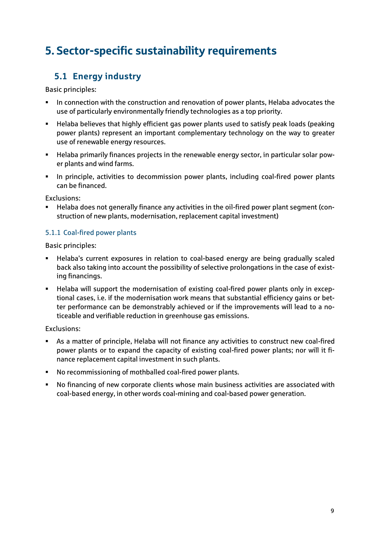# <span id="page-8-0"></span>5. Sector-specific sustainability requirements

## <span id="page-8-1"></span>**5.1 Energy industry**

Basic principles:

- In connection with the construction and renovation of power plants, Helaba advocates the use of particularly environmentally friendly technologies as a top priority.
- Helaba believes that highly efficient gas power plants used to satisfy peak loads (peaking power plants) represent an important complementary technology on the way to greater use of renewable energy resources.
- Helaba primarily finances projects in the renewable energy sector, in particular solar power plants and wind farms.
- **IF** In principle, activities to decommission power plants, including coal-fired power plants can be financed.

Exclusions:

 Helaba does not generally finance any activities in the oil-fired power plant segment (construction of new plants, modernisation, replacement capital investment)

#### <span id="page-8-2"></span>5.1.1 Coal-fired power plants

Basic principles:

- Helaba's current exposures in relation to coal-based energy are being gradually scaled back also taking into account the possibility of selective prolongations in the case of existing financings.
- Helaba will support the modernisation of existing coal-fired power plants only in exceptional cases, i.e. if the modernisation work means that substantial efficiency gains or better performance can be demonstrably achieved or if the improvements will lead to a noticeable and verifiable reduction in greenhouse gas emissions.

- As a matter of principle, Helaba will not finance any activities to construct new coal-fired power plants or to expand the capacity of existing coal-fired power plants; nor will it finance replacement capital investment in such plants.
- No recommissioning of mothballed coal-fired power plants.
- No financing of new corporate clients whose main business activities are associated with coal-based energy, in other words coal-mining and coal-based power generation.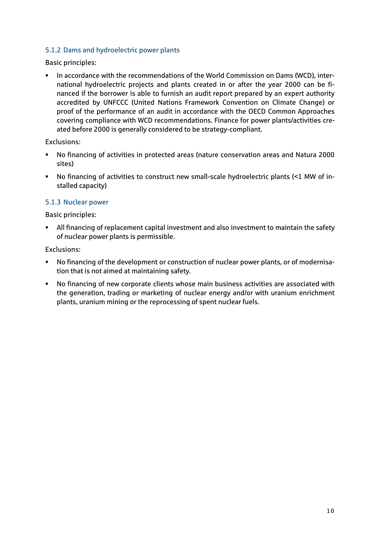#### <span id="page-9-0"></span>5.1.2 Dams and hydroelectric power plants

Basic principles:

In accordance with the recommendations of the World Commission on Dams (WCD), international hydroelectric projects and plants created in or after the year 2000 can be financed if the borrower is able to furnish an audit report prepared by an expert authority accredited by UNFCCC (United Nations Framework Convention on Climate Change) or proof of the performance of an audit in accordance with the OECD Common Approaches covering compliance with WCD recommendations. Finance for power plants/activities created before 2000 is generally considered to be strategy-compliant.

Exclusions:

- No financing of activities in protected areas (nature conservation areas and Natura 2000 sites)
- No financing of activities to construct new small-scale hydroelectric plants (<1 MW of installed capacity)

#### <span id="page-9-1"></span>5.1.3 Nuclear power

Basic principles:

 All financing of replacement capital investment and also investment to maintain the safety of nuclear power plants is permissible.

- No financing of the development or construction of nuclear power plants, or of modernisation that is not aimed at maintaining safety.
- No financing of new corporate clients whose main business activities are associated with the generation, trading or marketing of nuclear energy and/or with uranium enrichment plants, uranium mining or the reprocessing of spent nuclear fuels.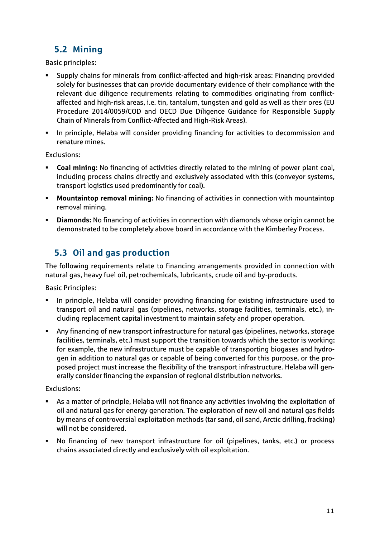## <span id="page-10-0"></span>**5.2 Mining**

Basic principles:

- Supply chains for minerals from conflict-affected and high-risk areas: Financing provided solely for businesses that can provide documentary evidence of their compliance with the relevant due diligence requirements relating to commodities originating from conflictaffected and high-risk areas, i.e. tin, tantalum, tungsten and gold as well as their ores (EU Procedure 2014/0059/COD and OECD Due Diligence Guidance for Responsible Supply Chain of Minerals from Conflict-Affected and High-Risk Areas).
- **In principle, Helaba will consider providing financing for activities to decommission and** renature mines.

Exclusions:

- **Coal mining:** No financing of activities directly related to the mining of power plant coal, including process chains directly and exclusively associated with this (conveyor systems, transport logistics used predominantly for coal).
- **Mountaintop removal mining:** No financing of activities in connection with mountaintop removal mining.
- **Diamonds:** No financing of activities in connection with diamonds whose origin cannot be demonstrated to be completely above board in accordance with the Kimberley Process.

## <span id="page-10-1"></span>**5.3 Oil and gas production**

The following requirements relate to financing arrangements provided in connection with natural gas, heavy fuel oil, petrochemicals, lubricants, crude oil and by-products.

Basic Principles:

- In principle, Helaba will consider providing financing for existing infrastructure used to transport oil and natural gas (pipelines, networks, storage facilities, terminals, etc.), including replacement capital investment to maintain safety and proper operation.
- Any financing of new transport infrastructure for natural gas (pipelines, networks, storage facilities, terminals, etc.) must support the transition towards which the sector is working; for example, the new infrastructure must be capable of transporting biogases and hydrogen in addition to natural gas or capable of being converted for this purpose, or the proposed project must increase the flexibility of the transport infrastructure. Helaba will generally consider financing the expansion of regional distribution networks.

- As a matter of principle, Helaba will not finance any activities involving the exploitation of oil and natural gas for energy generation. The exploration of new oil and natural gas fields by means of controversial exploitation methods (tar sand, oil sand, Arctic drilling, fracking) will not be considered.
- No financing of new transport infrastructure for oil (pipelines, tanks, etc.) or process chains associated directly and exclusively with oil exploitation.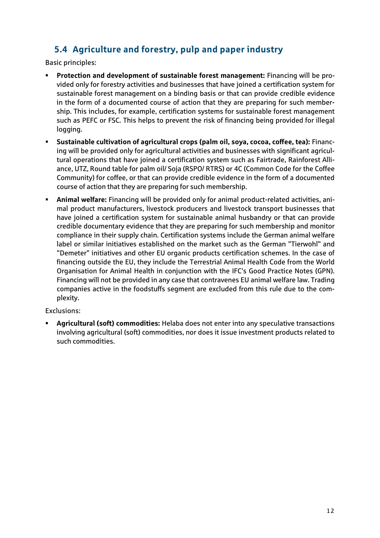## <span id="page-11-0"></span>**5.4 Agriculture and forestry, pulp and paper industry**

Basic principles:

- **Protection and development of sustainable forest management:** Financing will be provided only for forestry activities and businesses that have joined a certification system for sustainable forest management on a binding basis or that can provide credible evidence in the form of a documented course of action that they are preparing for such membership. This includes, for example, certification systems for sustainable forest management such as PEFC or FSC. This helps to prevent the risk of financing being provided for illegal logging.
- **Sustainable cultivation of agricultural crops (palm oil, soya, cocoa, coffee, tea):** Financing will be provided only for agricultural activities and businesses with significant agricultural operations that have joined a certification system such as Fairtrade, Rainforest Alliance, UTZ, Round table for palm oil/ Soja (RSPO/ RTRS) or 4C (Common Code for the Coffee Community) for coffee, or that can provide credible evidence in the form of a documented course of action that they are preparing for such membership.
- **Animal welfare:** Financing will be provided only for animal product-related activities, animal product manufacturers, livestock producers and livestock transport businesses that have joined a certification system for sustainable animal husbandry or that can provide credible documentary evidence that they are preparing for such membership and monitor compliance in their supply chain. Certification systems include the German animal welfare label or similar initiatives established on the market such as the German "Tierwohl" and "Demeter" initiatives and other EU organic products certification schemes. In the case of financing outside the EU, they include the Terrestrial Animal Health Code from the World Organisation for Animal Health in conjunction with the IFC's Good Practice Notes (GPN). Financing will not be provided in any case that contravenes EU animal welfare law. Trading companies active in the foodstuffs segment are excluded from this rule due to the complexity.

Exclusions:

 **Agricultural (soft) commodities:** Helaba does not enter into any speculative transactions involving agricultural (soft) commodities, nor does it issue investment products related to such commodities.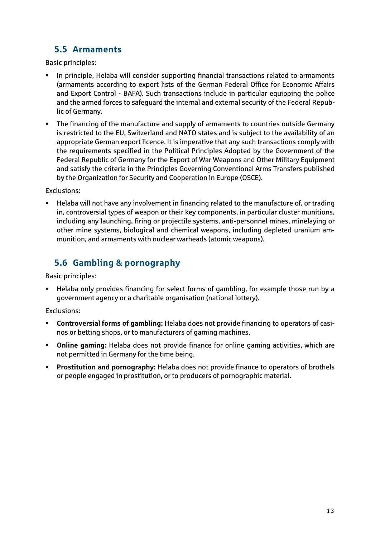### <span id="page-12-0"></span>**5.5 Armaments**

Basic principles:

- In principle, Helaba will consider supporting financial transactions related to armaments (armaments according to export lists of the German Federal Office for Economic Affairs and Export Control - BAFA). Such transactions include in particular equipping the police and the armed forces to safeguard the internal and external security of the Federal Republic of Germany.
- **The financing of the manufacture and supply of armaments to countries outside Germany** is restricted to the EU, Switzerland and NATO states and is subject to the availability of an appropriate German export licence. It is imperative that any such transactions comply with the requirements specified in the Political Principles Adopted by the Government of the Federal Republic of Germany for the Export of War Weapons and Other Military Equipment and satisfy the criteria in the Principles Governing Conventional Arms Transfers published by the Organization for Security and Cooperation in Europe (OSCE).

Exclusions:

 Helaba will not have any involvement in financing related to the manufacture of, or trading in, controversial types of weapon or their key components, in particular cluster munitions, including any launching, firing or projectile systems, anti-personnel mines, minelaying or other mine systems, biological and chemical weapons, including depleted uranium ammunition, and armaments with nuclear warheads (atomic weapons).

## <span id="page-12-1"></span>**5.6 Gambling & pornography**

Basic principles:

 Helaba only provides financing for select forms of gambling, for example those run by a government agency or a charitable organisation (national lottery).

- **Controversial forms of gambling:** Helaba does not provide financing to operators of casinos or betting shops, or to manufacturers of gaming machines.
- **Online gaming:** Helaba does not provide finance for online gaming activities, which are not permitted in Germany for the time being.
- **Prostitution and pornography:** Helaba does not provide finance to operators of brothels or people engaged in prostitution, or to producers of pornographic material.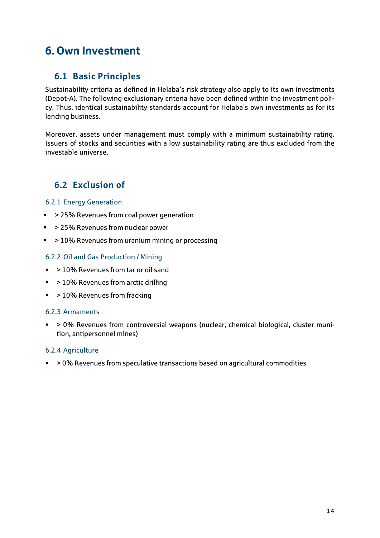## <span id="page-13-0"></span>6. Own Investment

### <span id="page-13-1"></span>**6.1 Basic Principles**

Sustainability criteria as defined in Helaba's risk strategy also apply to its own investments (Depot-A). The following exclusionary criteria have been defined within the investment policy. Thus, identical sustainability standards account for Helaba's own investments as for its lending business.

Moreover, assets under management must comply with a minimum sustainability rating. Issuers of stocks and securities with a low sustainability rating are thus excluded from the investable universe.

### <span id="page-13-2"></span>**6.2 Exclusion of**

#### <span id="page-13-3"></span>6.2.1 Energy Generation

- > 25% Revenues from coal power generation
- > 25% Revenues from nuclear power
- > 10% Revenues from uranium mining or processing

#### <span id="page-13-4"></span>6.2.2 Oil and Gas Production / Mining

- > 10% Revenues from tar or oil sand
- > 10% Revenues from arctic drilling
- > 10% Revenues from fracking

#### <span id="page-13-5"></span>6.2.3 Armaments

 > 0% Revenues from controversial weapons (nuclear, chemical biological, cluster munition, antipersonnel mines)

#### <span id="page-13-6"></span>6.2.4 Agriculture

> 0% Revenues from speculative transactions based on agricultural commodities